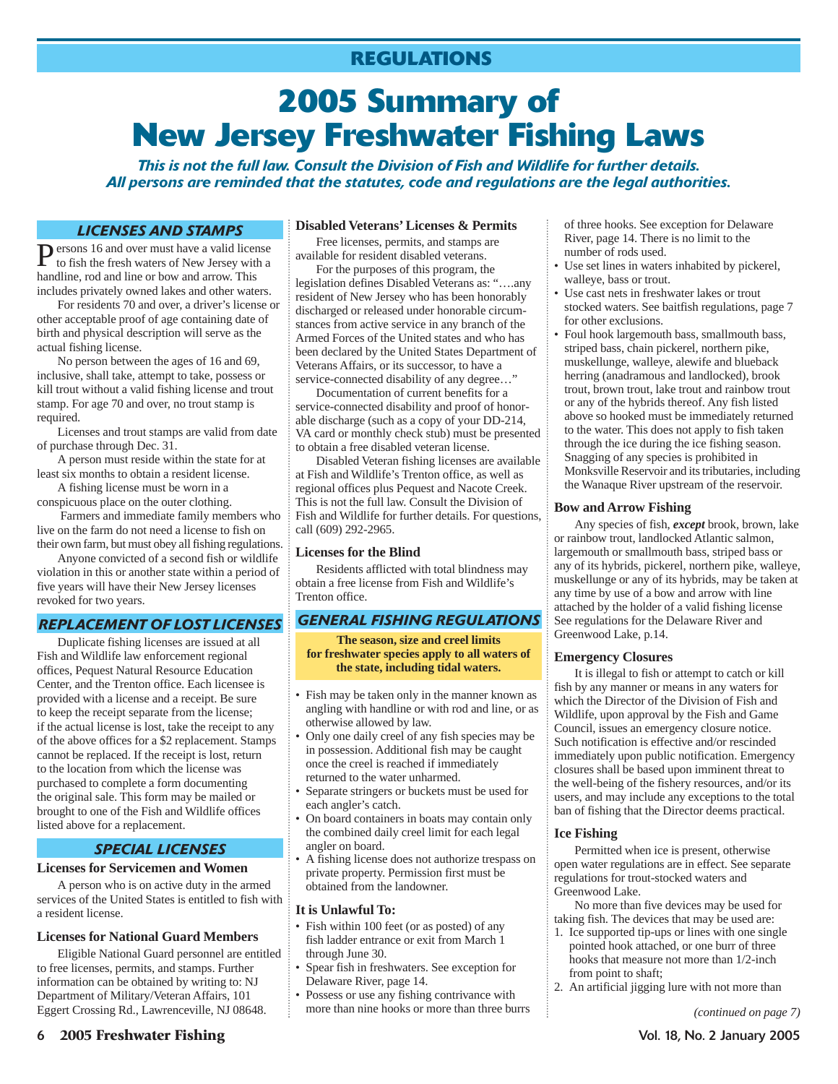# **2005 Summary of New Jersey Freshwater Fishing Laws**

*This is not the full law. Consult the Division of Fish and Wildlife for further details. All persons are reminded that the statutes, code and regulations are the legal authorities.*

### *LICENSES AND STAMPS*

**P**ersons 16 and over must have a valid license<br>to fish the fresh waters of New Jersey with a to fish the fresh waters of New Jersey with a handline, rod and line or bow and arrow. This includes privately owned lakes and other waters.

For residents 70 and over, a driver's license or other acceptable proof of age containing date of birth and physical description will serve as the actual fishing license.

No person between the ages of 16 and 69, inclusive, shall take, attempt to take, possess or kill trout without a valid fishing license and trout stamp. For age 70 and over, no trout stamp is required.

Licenses and trout stamps are valid from date of purchase through Dec. 31.

A person must reside within the state for at least six months to obtain a resident license.

A fishing license must be worn in a conspicuous place on the outer clothing.

Farmers and immediate family members who live on the farm do not need a license to fish on their own farm, but must obey all fishing regulations.

Anyone convicted of a second fish or wildlife violation in this or another state within a period of five years will have their New Jersey licenses revoked for two years.

### *REPLACEMENT OF LOST LICENSES*

Duplicate fishing licenses are issued at all Fish and Wildlife law enforcement regional offices, Pequest Natural Resource Education Center, and the Trenton office. Each licensee is provided with a license and a receipt. Be sure to keep the receipt separate from the license; if the actual license is lost, take the receipt to any of the above offices for a \$2 replacement. Stamps cannot be replaced. If the receipt is lost, return to the location from which the license was purchased to complete a form documenting the original sale. This form may be mailed or brought to one of the Fish and Wildlife offices listed above for a replacement.

### *SPECIAL LICENSES*

#### **Licenses for Servicemen and Women**

A person who is on active duty in the armed services of the United States is entitled to fish with a resident license.

#### **Licenses for National Guard Members**

Eligible National Guard personnel are entitled to free licenses, permits, and stamps. Further information can be obtained by writing to: NJ Department of Military/Veteran Affairs, 101 Eggert Crossing Rd., Lawrenceville, NJ 08648.

### **Disabled Veterans' Licenses & Permits**

Free licenses, permits, and stamps are available for resident disabled veterans.

For the purposes of this program, the legislation defines Disabled Veterans as: "….any resident of New Jersey who has been honorably discharged or released under honorable circumstances from active service in any branch of the Armed Forces of the United states and who has been declared by the United States Department of Veterans Affairs, or its successor, to have a service-connected disability of any degree…"

Documentation of current benefits for a service-connected disability and proof of honorable discharge (such as a copy of your DD-214, VA card or monthly check stub) must be presented to obtain a free disabled veteran license.

Disabled Veteran fishing licenses are available at Fish and Wildlife's Trenton office, as well as regional offices plus Pequest and Nacote Creek. This is not the full law. Consult the Division of Fish and Wildlife for further details. For questions, call (609) 292-2965.

### **Licenses for the Blind**

Residents afflicted with total blindness may obtain a free license from Fish and Wildlife's Trenton office.

### *GENERAL FISHING REGULATIONS*

**The season, size and creel limits for freshwater species apply to all waters of the state, including tidal waters.**

- Fish may be taken only in the manner known as angling with handline or with rod and line, or as otherwise allowed by law.
- Only one daily creel of any fish species may be in possession. Additional fish may be caught once the creel is reached if immediately returned to the water unharmed.
- Separate stringers or buckets must be used for each angler's catch.
- On board containers in boats may contain only the combined daily creel limit for each legal angler on board.
- A fishing license does not authorize trespass on private property. Permission first must be obtained from the landowner.

### **It is Unlawful To:**

- Fish within 100 feet (or as posted) of any fish ladder entrance or exit from March 1 through June 30.
- Spear fish in freshwaters. See exception for Delaware River, page 14.
- Possess or use any fishing contrivance with more than nine hooks or more than three burrs

of three hooks. See exception for Delaware River, page 14. There is no limit to the number of rods used.

- Use set lines in waters inhabited by pickerel, walleye, bass or trout.
- Use cast nets in freshwater lakes or trout stocked waters. See baitfish regulations, page 7 for other exclusions.
- Foul hook largemouth bass, smallmouth bass, striped bass, chain pickerel, northern pike, muskellunge, walleye, alewife and blueback herring (anadramous and landlocked), brook trout, brown trout, lake trout and rainbow trout or any of the hybrids thereof. Any fish listed above so hooked must be immediately returned to the water. This does not apply to fish taken through the ice during the ice fishing season. Snagging of any species is prohibited in Monksville Reservoir and its tributaries, including the Wanaque River upstream of the reservoir.

#### **Bow and Arrow Fishing**

Any species of fish, *except* brook, brown, lake or rainbow trout, landlocked Atlantic salmon, largemouth or smallmouth bass, striped bass or any of its hybrids, pickerel, northern pike, walleye, muskellunge or any of its hybrids, may be taken at any time by use of a bow and arrow with line attached by the holder of a valid fishing license See regulations for the Delaware River and Greenwood Lake, p.14.

#### **Emergency Closures**

It is illegal to fish or attempt to catch or kill fish by any manner or means in any waters for which the Director of the Division of Fish and Wildlife, upon approval by the Fish and Game Council, issues an emergency closure notice. Such notification is effective and/or rescinded immediately upon public notification. Emergency closures shall be based upon imminent threat to the well-being of the fishery resources, and/or its users, and may include any exceptions to the total ban of fishing that the Director deems practical.

#### **Ice Fishing**

Permitted when ice is present, otherwise open water regulations are in effect. See separate regulations for trout-stocked waters and Greenwood Lake.

No more than five devices may be used for taking fish. The devices that may be used are:

- 1. Ice supported tip-ups or lines with one single pointed hook attached, or one burr of three hooks that measure not more than 1/2-inch from point to shaft;
- 2. An artificial jigging lure with not more than

*(continued on page 7)*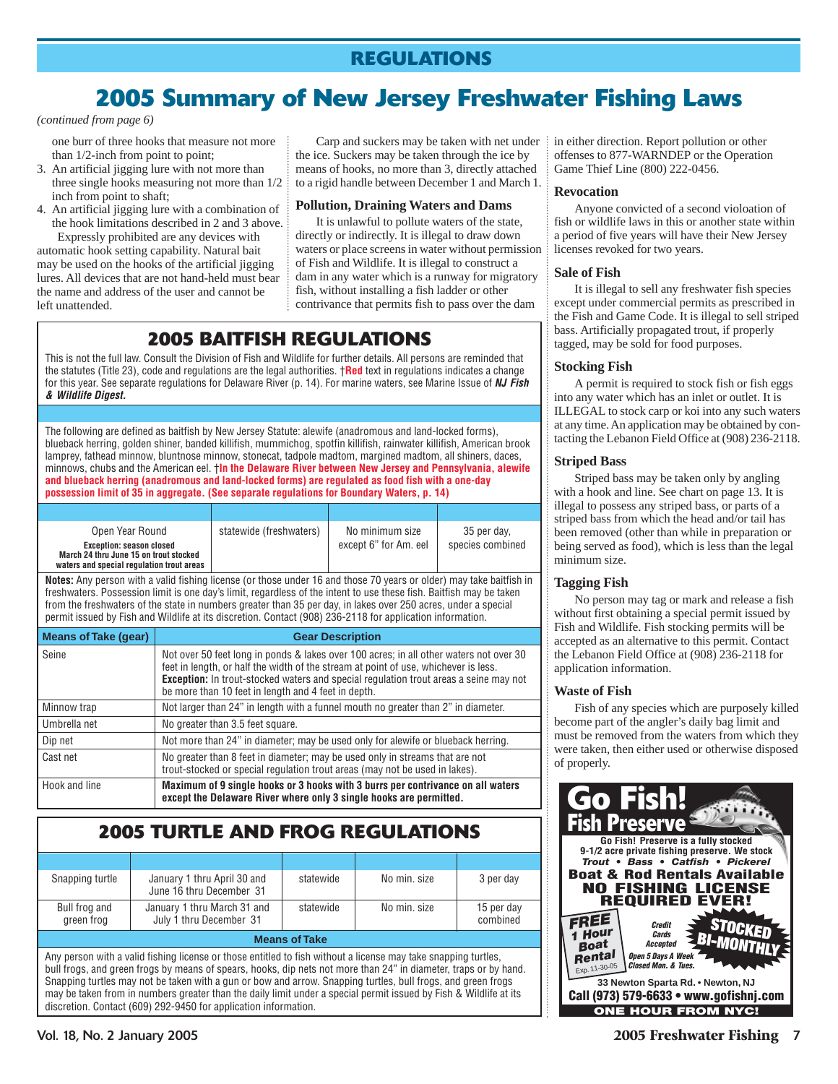# **2005 Summary of New Jersey Freshwater Fishing Laws**

*(continued from page 6)*

one burr of three hooks that measure not more than 1/2-inch from point to point;

- 3. An artificial jigging lure with not more than three single hooks measuring not more than 1/2 inch from point to shaft;
- 4. An artificial jigging lure with a combination of the hook limitations described in 2 and 3 above.

Expressly prohibited are any devices with automatic hook setting capability. Natural bait may be used on the hooks of the artificial jigging lures. All devices that are not hand-held must bear the name and address of the user and cannot be left unattended.

Carp and suckers may be taken with net under the ice. Suckers may be taken through the ice by means of hooks, no more than 3, directly attached to a rigid handle between December 1 and March 1.

### **Pollution, Draining Waters and Dams**

It is unlawful to pollute waters of the state, directly or indirectly. It is illegal to draw down waters or place screens in water without permission of Fish and Wildlife. It is illegal to construct a dam in any water which is a runway for migratory fish, without installing a fish ladder or other contrivance that permits fish to pass over the dam

## **2005 BAITFISH REGULATIONS**

This is not the full law. Consult the Division of Fish and Wildlife for further details. All persons are reminded that the statutes (Title 23), code and regulations are the legal authorities. †**Red** text in regulations indicates a change for this year. See separate regulations for Delaware River (p. 14). For marine waters, see Marine Issue of *NJ Fish & Wildlife Digest.*

The following are defined as baitfish by New Jersey Statute: alewife (anadromous and land-locked forms), blueback herring, golden shiner, banded killifish, mummichog, spotfin killifish, rainwater killifish, American brook lamprey, fathead minnow, bluntnose minnow, stonecat, tadpole madtom, margined madtom, all shiners, daces, minnows, chubs and the American eel. †**In the Delaware River between New Jersey and Pennsylvania, alewife and blueback herring (anadromous and land-locked forms) are regulated as food fish with a one-day possession limit of 35 in aggregate. (See separate regulations for Boundary Waters, p. 14)**

| Open Year Round<br><b>Exception: season closed</b><br>March 24 thru June 15 on trout stocked<br>waters and special regulation trout areas | statewide (freshwaters) | No minimum size<br>except 6" for Am. eel | 35 per day,<br>species combined |
|-------------------------------------------------------------------------------------------------------------------------------------------|-------------------------|------------------------------------------|---------------------------------|

**Notes:** Any person with a valid fishing license (or those under 16 and those 70 years or older) may take baitfish in freshwaters. Possession limit is one day's limit, regardless of the intent to use these fish. Baitfish may be taken from the freshwaters of the state in numbers greater than 35 per day, in lakes over 250 acres, under a special permit issued by Fish and Wildlife at its discretion. Contact (908) 236-2118 for application information.

| <b>Means of Take (gear)</b> | <b>Gear Description</b>                                                                                                                                                                                                                                                                                                              |
|-----------------------------|--------------------------------------------------------------------------------------------------------------------------------------------------------------------------------------------------------------------------------------------------------------------------------------------------------------------------------------|
| Seine                       | Not over 50 feet long in ponds & lakes over 100 acres; in all other waters not over 30<br>feet in length, or half the width of the stream at point of use, whichever is less.<br><b>Exception:</b> In trout-stocked waters and special regulation trout areas a seine may not<br>be more than 10 feet in length and 4 feet in depth. |
| Minnow trap                 | Not larger than 24" in length with a funnel mouth no greater than 2" in diameter.                                                                                                                                                                                                                                                    |
| Umbrella net                | No greater than 3.5 feet square.                                                                                                                                                                                                                                                                                                     |
| Dip net                     | Not more than 24" in diameter; may be used only for alewife or blueback herring.                                                                                                                                                                                                                                                     |
| Cast net                    | No greater than 8 feet in diameter; may be used only in streams that are not<br>trout-stocked or special regulation trout areas (may not be used in lakes).                                                                                                                                                                          |
| Hook and line               | Maximum of 9 single hooks or 3 hooks with 3 burrs per contrivance on all waters<br>except the Delaware River where only 3 single hooks are permitted.                                                                                                                                                                                |

### **2005 TURTLE AND FROG REGULATIONS**

| Snapping turtle                                                                                                | January 1 thru April 30 and<br>June 16 thru December 31 | statewide | No min. size | 3 per day              |  |  |
|----------------------------------------------------------------------------------------------------------------|---------------------------------------------------------|-----------|--------------|------------------------|--|--|
| Bull frog and<br>green frog                                                                                    | January 1 thru March 31 and<br>July 1 thru December 31  | statewide | No min. size | 15 per day<br>combined |  |  |
| <b>Means of Take</b>                                                                                           |                                                         |           |              |                        |  |  |
| Any person with a valid fishing license or those entitled to fish without a license may take snapping turtles, |                                                         |           |              |                        |  |  |

bull frogs, and green frogs by means of spears, hooks, dip nets not more than 24" in diameter, traps or by hand. Snapping turtles may not be taken with a gun or bow and arrow. Snapping turtles, bull frogs, and green frogs may be taken from in numbers greater than the daily limit under a special permit issued by Fish & Wildlife at its discretion. Contact (609) 292-9450 for application information.

in either direction. Report pollution or other offenses to 877-WARNDEP or the Operation Game Thief Line (800) 222-0456.

### **Revocation**

Anyone convicted of a second violoation of fish or wildlife laws in this or another state within a period of five years will have their New Jersey licenses revoked for two years.

### **Sale of Fish**

It is illegal to sell any freshwater fish species except under commercial permits as prescribed in the Fish and Game Code. It is illegal to sell striped bass. Artificially propagated trout, if properly tagged, may be sold for food purposes.

### **Stocking Fish**

A permit is required to stock fish or fish eggs into any water which has an inlet or outlet. It is ILLEGAL to stock carp or koi into any such waters at any time. An application may be obtained by contacting the Lebanon Field Office at (908) 236-2118.

### **Striped Bass**

Striped bass may be taken only by angling with a hook and line. See chart on page 13. It is illegal to possess any striped bass, or parts of a striped bass from which the head and/or tail has been removed (other than while in preparation or being served as food), which is less than the legal minimum size.

### **Tagging Fish**

No person may tag or mark and release a fish without first obtaining a special permit issued by Fish and Wildlife. Fish stocking permits will be accepted as an alternative to this permit. Contact the Lebanon Field Office at (908) 236-2118 for application information.

### **Waste of Fish**

Fish of any species which are purposely killed become part of the angler's daily bag limit and must be removed from the waters from which they were taken, then either used or otherwise disposed of properly.

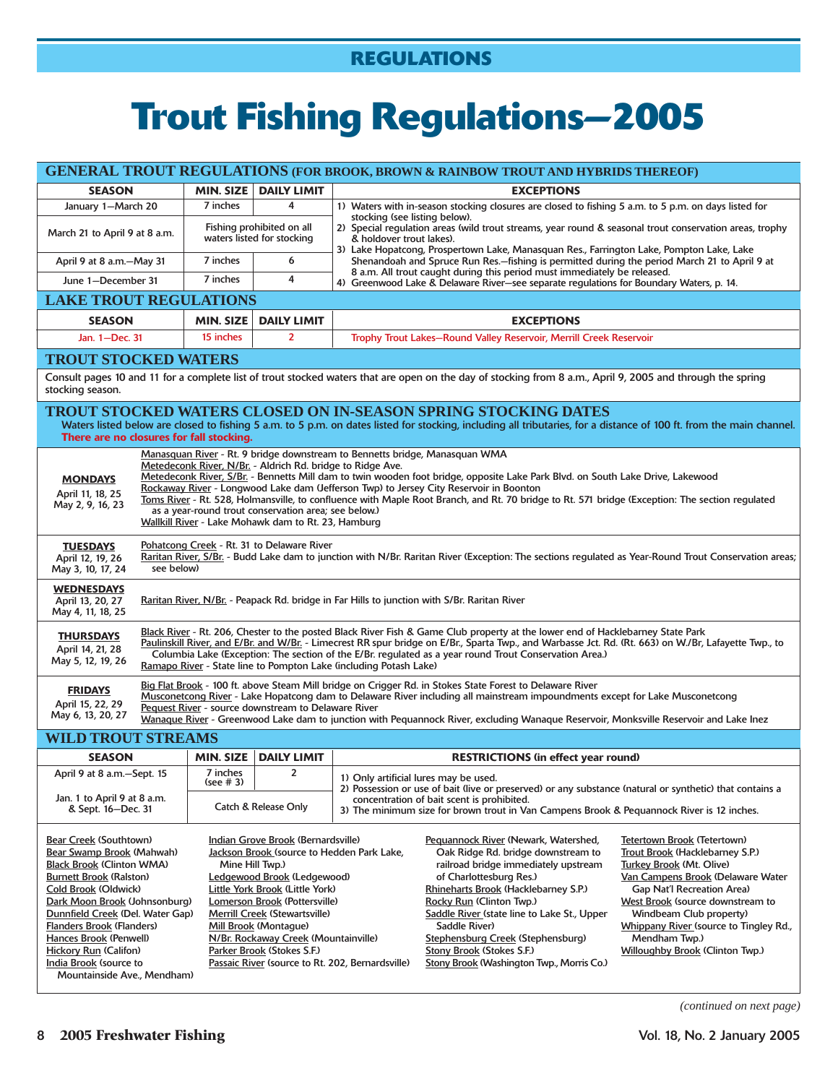# **Trout Fishing Regulations—2005**

|                                                                                                                                                                                                                                                                                                                                                                                      |                                                                                                                                                                                                                                                                                                                                                                                                                                                                                                                                                                                                                                         |                       |                                                                                                                                                                                                                                      |                                                                                                                                                                                                                                                                                                                                                                                                                                                                                                                                                                                                                                                                                                                                                                                                                                                                          | <b>GENERAL TROUT REGULATIONS (FOR BROOK, BROWN &amp; RAINBOW TROUT AND HYBRIDS THEREOF)</b>                                                                                                                                                                                                                                                                                                       |  |
|--------------------------------------------------------------------------------------------------------------------------------------------------------------------------------------------------------------------------------------------------------------------------------------------------------------------------------------------------------------------------------------|-----------------------------------------------------------------------------------------------------------------------------------------------------------------------------------------------------------------------------------------------------------------------------------------------------------------------------------------------------------------------------------------------------------------------------------------------------------------------------------------------------------------------------------------------------------------------------------------------------------------------------------------|-----------------------|--------------------------------------------------------------------------------------------------------------------------------------------------------------------------------------------------------------------------------------|--------------------------------------------------------------------------------------------------------------------------------------------------------------------------------------------------------------------------------------------------------------------------------------------------------------------------------------------------------------------------------------------------------------------------------------------------------------------------------------------------------------------------------------------------------------------------------------------------------------------------------------------------------------------------------------------------------------------------------------------------------------------------------------------------------------------------------------------------------------------------|---------------------------------------------------------------------------------------------------------------------------------------------------------------------------------------------------------------------------------------------------------------------------------------------------------------------------------------------------------------------------------------------------|--|
| <b>SEASON</b>                                                                                                                                                                                                                                                                                                                                                                        |                                                                                                                                                                                                                                                                                                                                                                                                                                                                                                                                                                                                                                         |                       | MIN. SIZE   DAILY LIMIT                                                                                                                                                                                                              |                                                                                                                                                                                                                                                                                                                                                                                                                                                                                                                                                                                                                                                                                                                                                                                                                                                                          | <b>EXCEPTIONS</b>                                                                                                                                                                                                                                                                                                                                                                                 |  |
| January 1-March 20                                                                                                                                                                                                                                                                                                                                                                   |                                                                                                                                                                                                                                                                                                                                                                                                                                                                                                                                                                                                                                         | 7 inches              | 4                                                                                                                                                                                                                                    |                                                                                                                                                                                                                                                                                                                                                                                                                                                                                                                                                                                                                                                                                                                                                                                                                                                                          | 1) Waters with in-season stocking closures are closed to fishing 5 a.m. to 5 p.m. on days listed for                                                                                                                                                                                                                                                                                              |  |
| March 21 to April 9 at 8 a.m.                                                                                                                                                                                                                                                                                                                                                        |                                                                                                                                                                                                                                                                                                                                                                                                                                                                                                                                                                                                                                         |                       | Fishing prohibited on all<br>waters listed for stocking                                                                                                                                                                              | stocking (see listing below).<br>2) Special regulation areas (wild trout streams, year round & seasonal trout conservation areas, trophy<br>& holdover trout lakes).<br>3) Lake Hopatcong, Prospertown Lake, Manasquan Res., Farrington Lake, Pompton Lake, Lake                                                                                                                                                                                                                                                                                                                                                                                                                                                                                                                                                                                                         |                                                                                                                                                                                                                                                                                                                                                                                                   |  |
| April 9 at 8 a.m.-May 31                                                                                                                                                                                                                                                                                                                                                             |                                                                                                                                                                                                                                                                                                                                                                                                                                                                                                                                                                                                                                         | 7 inches              | 6                                                                                                                                                                                                                                    |                                                                                                                                                                                                                                                                                                                                                                                                                                                                                                                                                                                                                                                                                                                                                                                                                                                                          | Shenandoah and Spruce Run Res.-fishing is permitted during the period March 21 to April 9 at                                                                                                                                                                                                                                                                                                      |  |
| June 1-December 31                                                                                                                                                                                                                                                                                                                                                                   |                                                                                                                                                                                                                                                                                                                                                                                                                                                                                                                                                                                                                                         | 7 inches              | 4                                                                                                                                                                                                                                    |                                                                                                                                                                                                                                                                                                                                                                                                                                                                                                                                                                                                                                                                                                                                                                                                                                                                          | 8 a.m. All trout caught during this period must immediately be released.<br>4) Greenwood Lake & Delaware River-see separate regulations for Boundary Waters, p. 14.                                                                                                                                                                                                                               |  |
| <b>LAKE TROUT REGULATIONS</b>                                                                                                                                                                                                                                                                                                                                                        |                                                                                                                                                                                                                                                                                                                                                                                                                                                                                                                                                                                                                                         |                       |                                                                                                                                                                                                                                      |                                                                                                                                                                                                                                                                                                                                                                                                                                                                                                                                                                                                                                                                                                                                                                                                                                                                          |                                                                                                                                                                                                                                                                                                                                                                                                   |  |
| <b>SEASON</b>                                                                                                                                                                                                                                                                                                                                                                        |                                                                                                                                                                                                                                                                                                                                                                                                                                                                                                                                                                                                                                         | <b>MIN. SIZE</b>      | <b>DAILY LIMIT</b>                                                                                                                                                                                                                   |                                                                                                                                                                                                                                                                                                                                                                                                                                                                                                                                                                                                                                                                                                                                                                                                                                                                          | <b>EXCEPTIONS</b>                                                                                                                                                                                                                                                                                                                                                                                 |  |
| Jan. 1-Dec. 31                                                                                                                                                                                                                                                                                                                                                                       |                                                                                                                                                                                                                                                                                                                                                                                                                                                                                                                                                                                                                                         | 15 inches             | $\overline{2}$                                                                                                                                                                                                                       |                                                                                                                                                                                                                                                                                                                                                                                                                                                                                                                                                                                                                                                                                                                                                                                                                                                                          | Trophy Trout Lakes-Round Valley Reservoir, Merrill Creek Reservoir                                                                                                                                                                                                                                                                                                                                |  |
| <b>TROUT STOCKED WATERS</b>                                                                                                                                                                                                                                                                                                                                                          |                                                                                                                                                                                                                                                                                                                                                                                                                                                                                                                                                                                                                                         |                       |                                                                                                                                                                                                                                      |                                                                                                                                                                                                                                                                                                                                                                                                                                                                                                                                                                                                                                                                                                                                                                                                                                                                          |                                                                                                                                                                                                                                                                                                                                                                                                   |  |
| stocking season.                                                                                                                                                                                                                                                                                                                                                                     |                                                                                                                                                                                                                                                                                                                                                                                                                                                                                                                                                                                                                                         |                       |                                                                                                                                                                                                                                      |                                                                                                                                                                                                                                                                                                                                                                                                                                                                                                                                                                                                                                                                                                                                                                                                                                                                          | Consult pages 10 and 11 for a complete list of trout stocked waters that are open on the day of stocking from 8 a.m., April 9, 2005 and through the spring                                                                                                                                                                                                                                        |  |
| There are no closures for fall stocking.                                                                                                                                                                                                                                                                                                                                             |                                                                                                                                                                                                                                                                                                                                                                                                                                                                                                                                                                                                                                         |                       |                                                                                                                                                                                                                                      |                                                                                                                                                                                                                                                                                                                                                                                                                                                                                                                                                                                                                                                                                                                                                                                                                                                                          | <b>TROUT STOCKED WATERS CLOSED ON IN-SEASON SPRING STOCKING DATES</b><br>Waters listed below are closed to fishing 5 a.m. to 5 p.m. on dates listed for stocking, including all tributaries, for a distance of 100 ft. from the main channel.                                                                                                                                                     |  |
|                                                                                                                                                                                                                                                                                                                                                                                      |                                                                                                                                                                                                                                                                                                                                                                                                                                                                                                                                                                                                                                         |                       |                                                                                                                                                                                                                                      |                                                                                                                                                                                                                                                                                                                                                                                                                                                                                                                                                                                                                                                                                                                                                                                                                                                                          |                                                                                                                                                                                                                                                                                                                                                                                                   |  |
| <b>MONDAYS</b><br>April 11, 18, 25<br>May 2, 9, 16, 23                                                                                                                                                                                                                                                                                                                               | Manasquan River - Rt. 9 bridge downstream to Bennetts bridge, Manasquan WMA<br>Metedeconk River, N/Br. - Aldrich Rd. bridge to Ridge Ave.<br>Metedeconk River, S/Br. - Bennetts Mill dam to twin wooden foot bridge, opposite Lake Park Blvd. on South Lake Drive, Lakewood<br>Rockaway River - Longwood Lake dam (Jefferson Twp) to Jersey City Reservoir in Boonton<br>Toms River - Rt. 528, Holmansville, to confluence with Maple Root Branch, and Rt. 70 bridge to Rt. 571 bridge (Exception: The section regulated<br>as a year-round trout conservation area; see below.)<br>Wallkill River - Lake Mohawk dam to Rt. 23, Hamburg |                       |                                                                                                                                                                                                                                      |                                                                                                                                                                                                                                                                                                                                                                                                                                                                                                                                                                                                                                                                                                                                                                                                                                                                          |                                                                                                                                                                                                                                                                                                                                                                                                   |  |
| <b>TUESDAYS</b><br>April 12, 19, 26<br>May 3, 10, 17, 24                                                                                                                                                                                                                                                                                                                             | Pohatcong Creek - Rt. 31 to Delaware River<br>Raritan River, S/Br. - Budd Lake dam to junction with N/Br. Raritan River (Exception: The sections regulated as Year-Round Trout Conservation areas;<br>see below)                                                                                                                                                                                                                                                                                                                                                                                                                        |                       |                                                                                                                                                                                                                                      |                                                                                                                                                                                                                                                                                                                                                                                                                                                                                                                                                                                                                                                                                                                                                                                                                                                                          |                                                                                                                                                                                                                                                                                                                                                                                                   |  |
| <b>WEDNESDAYS</b><br>April 13, 20, 27<br>May 4, 11, 18, 25                                                                                                                                                                                                                                                                                                                           | Raritan River, N/Br. - Peapack Rd. bridge in Far Hills to junction with S/Br. Raritan River                                                                                                                                                                                                                                                                                                                                                                                                                                                                                                                                             |                       |                                                                                                                                                                                                                                      |                                                                                                                                                                                                                                                                                                                                                                                                                                                                                                                                                                                                                                                                                                                                                                                                                                                                          |                                                                                                                                                                                                                                                                                                                                                                                                   |  |
| <b>THURSDAYS</b><br>April 14, 21, 28<br>May 5, 12, 19, 26                                                                                                                                                                                                                                                                                                                            |                                                                                                                                                                                                                                                                                                                                                                                                                                                                                                                                                                                                                                         |                       |                                                                                                                                                                                                                                      | Ramapo River - State line to Pompton Lake (including Potash Lake)                                                                                                                                                                                                                                                                                                                                                                                                                                                                                                                                                                                                                                                                                                                                                                                                        | Black River - Rt. 206, Chester to the posted Black River Fish & Game Club property at the lower end of Hacklebarney State Park<br>Paulinskill River, and E/Br. and W/Br. - Limecrest RR spur bridge on E/Br., Sparta Twp., and Warbasse Jct. Rd. (Rt. 663) on W./Br, Lafayette Twp., to<br>Columbia Lake (Exception: The section of the E/Br. regulated as a year round Trout Conservation Area.) |  |
| <b>FRIDAYS</b><br>April 15, 22, 29<br>May 6, 13, 20, 27                                                                                                                                                                                                                                                                                                                              |                                                                                                                                                                                                                                                                                                                                                                                                                                                                                                                                                                                                                                         |                       | Pequest River - source downstream to Delaware River                                                                                                                                                                                  |                                                                                                                                                                                                                                                                                                                                                                                                                                                                                                                                                                                                                                                                                                                                                                                                                                                                          | Big Flat Brook - 100 ft. above Steam Mill bridge on Crigger Rd. in Stokes State Forest to Delaware River<br>Musconetcong River - Lake Hopatcong dam to Delaware River including all mainstream impoundments except for Lake Musconetcong<br>Wanaque River - Greenwood Lake dam to junction with Pequannock River, excluding Wanaque Reservoir, Monksville Reservoir and Lake Inez                 |  |
| <b>WILD TROUT STREAMS</b>                                                                                                                                                                                                                                                                                                                                                            |                                                                                                                                                                                                                                                                                                                                                                                                                                                                                                                                                                                                                                         |                       |                                                                                                                                                                                                                                      |                                                                                                                                                                                                                                                                                                                                                                                                                                                                                                                                                                                                                                                                                                                                                                                                                                                                          |                                                                                                                                                                                                                                                                                                                                                                                                   |  |
| <b>SEASON</b>                                                                                                                                                                                                                                                                                                                                                                        |                                                                                                                                                                                                                                                                                                                                                                                                                                                                                                                                                                                                                                         |                       | MIN. SIZE   DAILY LIMIT                                                                                                                                                                                                              |                                                                                                                                                                                                                                                                                                                                                                                                                                                                                                                                                                                                                                                                                                                                                                                                                                                                          | <b>RESTRICTIONS (in effect year round)</b>                                                                                                                                                                                                                                                                                                                                                        |  |
| April 9 at 8 a.m.—Sept. 15                                                                                                                                                                                                                                                                                                                                                           |                                                                                                                                                                                                                                                                                                                                                                                                                                                                                                                                                                                                                                         | 7 inches<br>(see # 3) | 2                                                                                                                                                                                                                                    |                                                                                                                                                                                                                                                                                                                                                                                                                                                                                                                                                                                                                                                                                                                                                                                                                                                                          | 1) Only artificial lures may be used.                                                                                                                                                                                                                                                                                                                                                             |  |
| Jan. 1 to April 9 at 8 a.m.<br>& Sept. 16-Dec. 31                                                                                                                                                                                                                                                                                                                                    |                                                                                                                                                                                                                                                                                                                                                                                                                                                                                                                                                                                                                                         |                       | Catch & Release Only                                                                                                                                                                                                                 |                                                                                                                                                                                                                                                                                                                                                                                                                                                                                                                                                                                                                                                                                                                                                                                                                                                                          | 2) Possession or use of bait (live or preserved) or any substance (natural or synthetic) that contains a<br>concentration of bait scent is prohibited.<br>3) The minimum size for brown trout in Van Campens Brook & Pequannock River is 12 inches.                                                                                                                                               |  |
| <b>Bear Creek (Southtown)</b><br>Bear Swamp Brook (Mahwah)<br><b>Black Brook (Clinton WMA)</b><br><b>Burnett Brook (Ralston)</b><br>Cold Brook (Oldwick)<br>Dark Moon Brook (Johnsonburg)<br>Dunnfield Creek (Del. Water Gap)<br><b>Flanders Brook (Flanders)</b><br>Hances Brook (Penwell)<br><b>Hickory Run (Califon)</b><br>India Brook (source to<br>Mountainside Ave., Mendham) |                                                                                                                                                                                                                                                                                                                                                                                                                                                                                                                                                                                                                                         | Mine Hill Twp.)       | Indian Grove Brook (Bernardsville)<br>Ledgewood Brook (Ledgewood)<br>Little York Brook (Little York)<br>Lomerson Brook (Pottersville)<br><b>Merrill Creek (Stewartsville)</b><br>Mill Brook (Montague)<br>Parker Brook (Stokes S.F.) | Pequannock River (Newark, Watershed,<br>Tetertown Brook (Tetertown)<br>Jackson Brook (source to Hedden Park Lake,<br>Oak Ridge Rd. bridge downstream to<br>Trout Brook (Hacklebarney S.P.)<br>railroad bridge immediately upstream<br>Turkey Brook (Mt. Olive)<br>of Charlottesburg Res.)<br>Van Campens Brook (Delaware Water<br>Rhineharts Brook (Hacklebarney S.P.)<br>Gap Nat'l Recreation Area)<br>Rocky Run (Clinton Twp.)<br>West Brook (source downstream to<br>Saddle River (state line to Lake St., Upper<br>Windbeam Club property)<br>Whippany River (source to Tingley Rd.,<br>Saddle River)<br>N/Br. Rockaway Creek (Mountainville)<br>Stephensburg Creek (Stephensburg)<br>Mendham Twp.)<br>Stony Brook (Stokes S.F.)<br>Willoughby Brook (Clinton Twp.)<br>Passaic River (source to Rt. 202, Bernardsville)<br>Stony Brook (Washington Twp., Morris Co.) |                                                                                                                                                                                                                                                                                                                                                                                                   |  |

*(continued on next page)*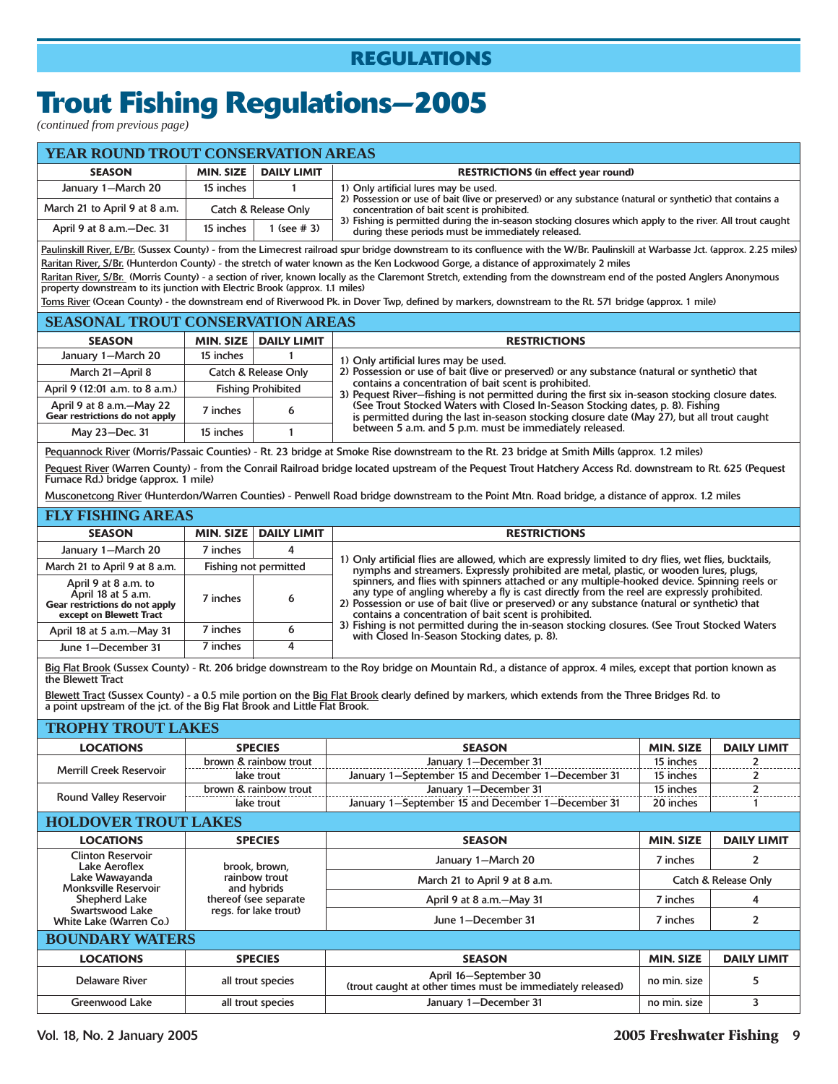# **Trout Fishing Regulations—2005**

*(continued from previous page)*

| <b>YEAR ROUND TROUT CONSERVATION AREAS</b> |                  |                      |                                                                                                                                                                 |  |  |  |
|--------------------------------------------|------------------|----------------------|-----------------------------------------------------------------------------------------------------------------------------------------------------------------|--|--|--|
| <b>SEASON</b>                              | <b>MIN. SIZE</b> | <b>DAILY LIMIT</b>   | <b>RESTRICTIONS (in effect year round)</b>                                                                                                                      |  |  |  |
| January 1-March 20                         | 15 inches        |                      | 1) Only artificial lures may be used.                                                                                                                           |  |  |  |
| March 21 to April 9 at 8 a.m.              |                  | Catch & Release Only | 2) Possession or use of bait (live or preserved) or any substance (natural or synthetic) that contains a<br>concentration of bait scent is prohibited.          |  |  |  |
| April 9 at 8 a.m.-Dec. 31                  | 15 inches        | $($ see #3)          | 3) Fishing is permitted during the in-season stocking closures which apply to the river. All trout caught<br>during these periods must be immediately released. |  |  |  |

Paulinskill River, E/Br. (Sussex County) - from the Limecrest railroad spur bridge downstream to its confluence with the W/Br. Paulinskill at Warbasse Jct. (approx. 2.25 miles) Raritan River, S/Br. (Hunterdon County) - the stretch of water known as the Ken Lockwood Gorge, a distance of approximately 2 miles Raritan River, S/Br. (Morris County) - a section of river, known locally as the Claremont Stretch, extending from the downstream end of the posted Anglers Anonymous

property downstream to its junction with Electric Brook (approx. 1.1 miles) Toms River (Ocean County) - the downstream end of Riverwood Pk. in Dover Twp, defined by markers, downstream to the Rt. 571 bridge (approx. 1 mile)

| <b>SEASONAL TROUT CONSERVATION AREAS</b>                   |                           |                      |                                                                                                                                                                               |  |  |  |  |
|------------------------------------------------------------|---------------------------|----------------------|-------------------------------------------------------------------------------------------------------------------------------------------------------------------------------|--|--|--|--|
| <b>SEASON</b>                                              | <b>MIN. SIZE</b>          | <b>DAILY LIMIT</b>   | <b>RESTRICTIONS</b>                                                                                                                                                           |  |  |  |  |
| January 1-March 20                                         | 15 inches                 |                      | 1) Only artificial lures may be used.                                                                                                                                         |  |  |  |  |
| March 21-April 8                                           |                           | Catch & Release Only | 2) Possession or use of bait (live or preserved) or any substance (natural or synthetic) that                                                                                 |  |  |  |  |
| April 9 (12:01 a.m. to 8 a.m.)                             | <b>Fishing Prohibited</b> |                      | contains a concentration of bait scent is prohibited.<br>3) Pequest River-fishing is not permitted during the first six in-season stocking closure dates.                     |  |  |  |  |
| April 9 at 8 a.m.-May 22<br>Gear restrictions do not apply | 7 inches                  |                      | (See Trout Stocked Waters with Closed In-Season Stocking dates, p. 8). Fishing<br>is permitted during the last in-season stocking closure date (May 27), but all trout caught |  |  |  |  |
| May 23-Dec. 31                                             | 15 inches                 |                      | between 5 a.m. and 5 p.m. must be immediately released.                                                                                                                       |  |  |  |  |

Pequannock River (Morris/Passaic Counties) - Rt. 23 bridge at Smoke Rise downstream to the Rt. 23 bridge at Smith Mills (approx. 1.2 miles)

Pequest River (Warren County) - from the Conrail Railroad bridge located upstream of the Pequest Trout Hatchery Access Rd. downstream to Rt. 625 (Pequest Furnace Rd.) bridge (approx. 1 mile)

Musconetcong River (Hunterdon/Warren Counties) - Penwell Road bridge downstream to the Point Mtn. Road bridge, a distance of approx. 1.2 miles

| <b>FLY FISHING AREAS</b>                                                                                |          |                         |                                                                                                                                                                                                                                                                                                                                                     |
|---------------------------------------------------------------------------------------------------------|----------|-------------------------|-----------------------------------------------------------------------------------------------------------------------------------------------------------------------------------------------------------------------------------------------------------------------------------------------------------------------------------------------------|
| <b>SEASON</b>                                                                                           |          | MIN. SIZE   DAILY LIMIT | <b>RESTRICTIONS</b>                                                                                                                                                                                                                                                                                                                                 |
| January 1-March 20                                                                                      | 7 inches | 4                       |                                                                                                                                                                                                                                                                                                                                                     |
| March 21 to April 9 at 8 a.m.                                                                           |          | Fishing not permitted   | 1) Only artificial flies are allowed, which are expressly limited to dry flies, wet flies, bucktails,<br>nymphs and streamers. Expressly prohibited are metal, plastic, or wooden lures, plugs,                                                                                                                                                     |
| April 9 at 8 a.m. to<br>April 18 at 5 a.m.<br>Gear restrictions do not apply<br>except on Blewett Tract | 7 inches | 6                       | spinners, and flies with spinners attached or any multiple-hooked device. Spinning reels or<br>any type of angling whereby a fly is cast directly from the reel are expressly prohibited.<br>2) Possession or use of bait (live or preserved) or any substance (natural or synthetic) that<br>contains a concentration of bait scent is prohibited. |
| April 18 at 5 a.m.-May 31                                                                               | 7 inches |                         | 3) Fishing is not permitted during the in-season stocking closures. (See Trout Stocked Waters<br>with Closed In-Season Stocking dates, p. 8).                                                                                                                                                                                                       |
| June 1-December 31                                                                                      | 7 inches |                         |                                                                                                                                                                                                                                                                                                                                                     |

Big Flat Brook (Sussex County) - Rt. 206 bridge downstream to the Roy bridge on Mountain Rd., a distance of approx. 4 miles, except that portion known as the Blewett Tract

Blewett Tract (Sussex County) - a 0.5 mile portion on the Big Flat Brook clearly defined by markers, which extends from the Three Bridges Rd. to a point upstream of the jct. of the Big Flat Brook and Little Flat Brook.

### **TROPHY TROUT LAKES**

| HNOTHER HNOTHER HANDS                            |                              |                                                                                     |                                 |                          |  |  |
|--------------------------------------------------|------------------------------|-------------------------------------------------------------------------------------|---------------------------------|--------------------------|--|--|
| <b>LOCATIONS</b>                                 | <b>SPECIES</b>               | <b>SEASON</b>                                                                       | <b>MIN. SIZE</b>                | <b>DAILY LIMIT</b>       |  |  |
|                                                  | brown & rainbow trout        | January 1-December 31                                                               | 15 inches                       | $\overline{2}$           |  |  |
| <b>Merrill Creek Reservoir</b>                   | lake trout                   | January 1-September 15 and December 1-December 31                                   | 15 inches                       |                          |  |  |
|                                                  | brown & rainbow trout        | January 1-December 31                                                               | 15 inches                       | $\overline{\phantom{a}}$ |  |  |
| <b>Round Valley Reservoir</b>                    | lake trout                   | January 1-September 15 and December 1-December 31                                   | 20 inches                       |                          |  |  |
| <b>HOLDOVER TROUT LAKES</b>                      |                              |                                                                                     |                                 |                          |  |  |
| <b>LOCATIONS</b>                                 | <b>SPECIES</b>               | <b>SEASON</b>                                                                       | <b>MIN. SIZE</b>                | <b>DAILY LIMIT</b>       |  |  |
| <b>Clinton Reservoir</b><br><b>Lake Aeroflex</b> | brook, brown,                | January 1-March 20                                                                  | 7 inches                        | $\overline{2}$           |  |  |
| Lake Wawayanda<br><b>Monksville Reservoir</b>    | rainbow trout<br>and hybrids | March 21 to April 9 at 8 a.m.                                                       | <b>Catch &amp; Release Only</b> |                          |  |  |
| <b>Shepherd Lake</b>                             | thereof (see separate        | April 9 at 8 a.m.-May 31                                                            | 7 inches                        | 4                        |  |  |
| Swartswood Lake<br>White Lake (Warren Co.)       | regs. for lake trout)        | June 1-December 31                                                                  | 7 inches                        | $\overline{2}$           |  |  |
|                                                  | <b>BOUNDARY WATERS</b>       |                                                                                     |                                 |                          |  |  |
| <b>LOCATIONS</b>                                 | <b>SPECIES</b>               | <b>SEASON</b>                                                                       | <b>MIN. SIZE</b>                | <b>DAILY LIMIT</b>       |  |  |
| <b>Delaware River</b>                            | all trout species            | April 16-September 30<br>(trout caught at other times must be immediately released) | no min. size                    | 5                        |  |  |
| <b>Greenwood Lake</b>                            | all trout species            | January 1-December 31                                                               | no min. size                    | 3                        |  |  |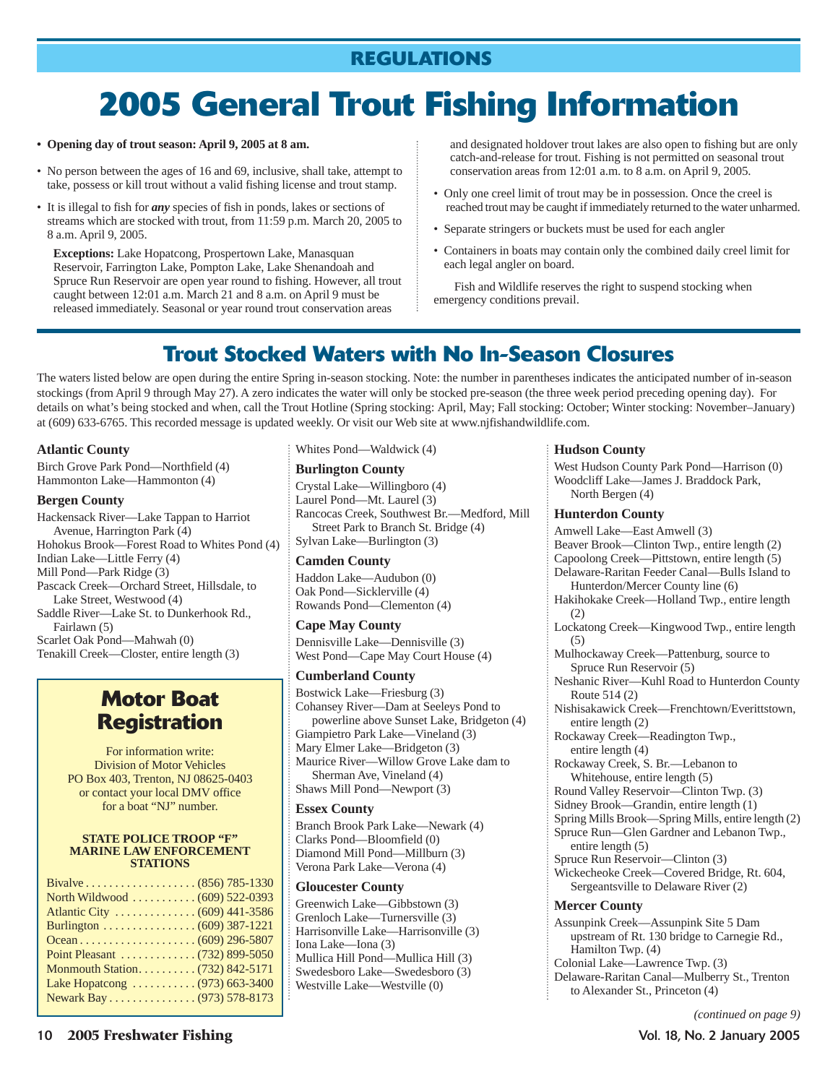# **2005 General Trout Fishing Information**

- **Opening day of trout season: April 9, 2005 at 8 am.**
- No person between the ages of 16 and 69, inclusive, shall take, attempt to take, possess or kill trout without a valid fishing license and trout stamp.
- It is illegal to fish for *any* species of fish in ponds, lakes or sections of streams which are stocked with trout, from 11:59 p.m. March 20, 2005 to 8 a.m. April 9, 2005.

**Exceptions:** Lake Hopatcong, Prospertown Lake, Manasquan Reservoir, Farrington Lake, Pompton Lake, Lake Shenandoah and Spruce Run Reservoir are open year round to fishing. However, all trout caught between 12:01 a.m. March 21 and 8 a.m. on April 9 must be released immediately. Seasonal or year round trout conservation areas

and designated holdover trout lakes are also open to fishing but are only catch-and-release for trout. Fishing is not permitted on seasonal trout conservation areas from 12:01 a.m. to 8 a.m. on April 9, 2005.

- Only one creel limit of trout may be in possession. Once the creel is reached trout may be caught if immediately returned to the water unharmed.
- Separate stringers or buckets must be used for each angler
- Containers in boats may contain only the combined daily creel limit for each legal angler on board.

Fish and Wildlife reserves the right to suspend stocking when emergency conditions prevail.

## **Trout Stocked Waters with No In-Season Closures**

The waters listed below are open during the entire Spring in-season stocking. Note: the number in parentheses indicates the anticipated number of in-season stockings (from April 9 through May 27). A zero indicates the water will only be stocked pre-season (the three week period preceding opening day). For details on what's being stocked and when, call the Trout Hotline (Spring stocking: April, May; Fall stocking: October; Winter stocking: November–January) at (609) 633-6765. This recorded message is updated weekly. Or visit our Web site at www.njfishandwildlife.com.

### **Atlantic County**

Birch Grove Park Pond—Northfield (4) Hammonton Lake—Hammonton (4)

### **Bergen County**

Hackensack River—Lake Tappan to Harriot Avenue, Harrington Park (4) Hohokus Brook—Forest Road to Whites Pond (4) Indian Lake—Little Ferry (4) Mill Pond—Park Ridge (3) Pascack Creek—Orchard Street, Hillsdale, to Lake Street, Westwood (4) Saddle River—Lake St. to Dunkerhook Rd., Fairlawn (5) Scarlet Oak Pond—Mahwah (0) Tenakill Creek—Closter, entire length (3)

### **Motor Boat Registration**

For information write: Division of Motor Vehicles PO Box 403, Trenton, NJ 08625-0403 or contact your local DMV office for a boat "NJ" number.

#### **STATE POLICE TROOP "F" MARINE LAW ENFORCEMENT STATIONS**

| North Wildwood  (609) 522-0393 |
|--------------------------------|
|                                |
| Burlington (609) 387-1221      |
|                                |
| Point Pleasant (732) 899-5050  |
|                                |
| Lake Hopatcong  (973) 663-3400 |
| Newark Bay (973) 578-8173      |
|                                |

Whites Pond—Waldwick (4)

### **Burlington County**

Crystal Lake—Willingboro (4) Laurel Pond—Mt. Laurel (3) Rancocas Creek, Southwest Br.—Medford, Mill Street Park to Branch St. Bridge (4) Sylvan Lake—Burlington (3)

### **Camden County**

Haddon Lake—Audubon (0) Oak Pond—Sicklerville (4) Rowands Pond—Clementon (4)

### **Cape May County**

Dennisville Lake—Dennisville (3) West Pond—Cape May Court House (4)

### **Cumberland County**

Bostwick Lake—Friesburg (3) Cohansey River—Dam at Seeleys Pond to powerline above Sunset Lake, Bridgeton (4) Giampietro Park Lake—Vineland (3) Mary Elmer Lake—Bridgeton (3) Maurice River—Willow Grove Lake dam to Sherman Ave, Vineland (4) Shaws Mill Pond—Newport (3)

### **Essex County**

Branch Brook Park Lake—Newark (4) Clarks Pond—Bloomfield (0) Diamond Mill Pond—Millburn (3) Verona Park Lake—Verona (4)

### **Gloucester County**

Greenwich Lake—Gibbstown (3) Grenloch Lake—Turnersville (3) Harrisonville Lake—Harrisonville (3) Iona Lake—Iona (3) Mullica Hill Pond—Mullica Hill (3) Swedesboro Lake—Swedesboro (3) Westville Lake—Westville (0)

#### **Hudson County**

West Hudson County Park Pond—Harrison (0) Woodcliff Lake—James J. Braddock Park, North Bergen (4)

#### **Hunterdon County**

Amwell Lake—East Amwell (3) Beaver Brook—Clinton Twp., entire length (2) Capoolong Creek—Pittstown, entire length (5) Delaware-Raritan Feeder Canal—Bulls Island to Hunterdon/Mercer County line (6) Hakihokake Creek—Holland Twp., entire length (2) Lockatong Creek—Kingwood Twp., entire length  $(5)$ Mulhockaway Creek—Pattenburg, source to Spruce Run Reservoir (5) Neshanic River—Kuhl Road to Hunterdon County Route 514 (2) Nishisakawick Creek—Frenchtown/Everittstown, entire length (2) Rockaway Creek—Readington Twp., entire length (4) Rockaway Creek, S. Br.—Lebanon to Whitehouse, entire length (5) Round Valley Reservoir—Clinton Twp. (3) Sidney Brook—Grandin, entire length (1) Spring Mills Brook—Spring Mills, entire length (2) Spruce Run—Glen Gardner and Lebanon Twp., entire length (5) Spruce Run Reservoir—Clinton (3) Wickecheoke Creek—Covered Bridge, Rt. 604, Sergeantsville to Delaware River (2) **Mercer County** Assunpink Creek—Assunpink Site 5 Dam upstream of Rt. 130 bridge to Carnegie Rd., Hamilton Twp. (4) Colonial Lake—Lawrence Twp. (3) Delaware-Raritan Canal—Mulberry St., Trenton to Alexander St., Princeton (4)

*(continued on page 9)*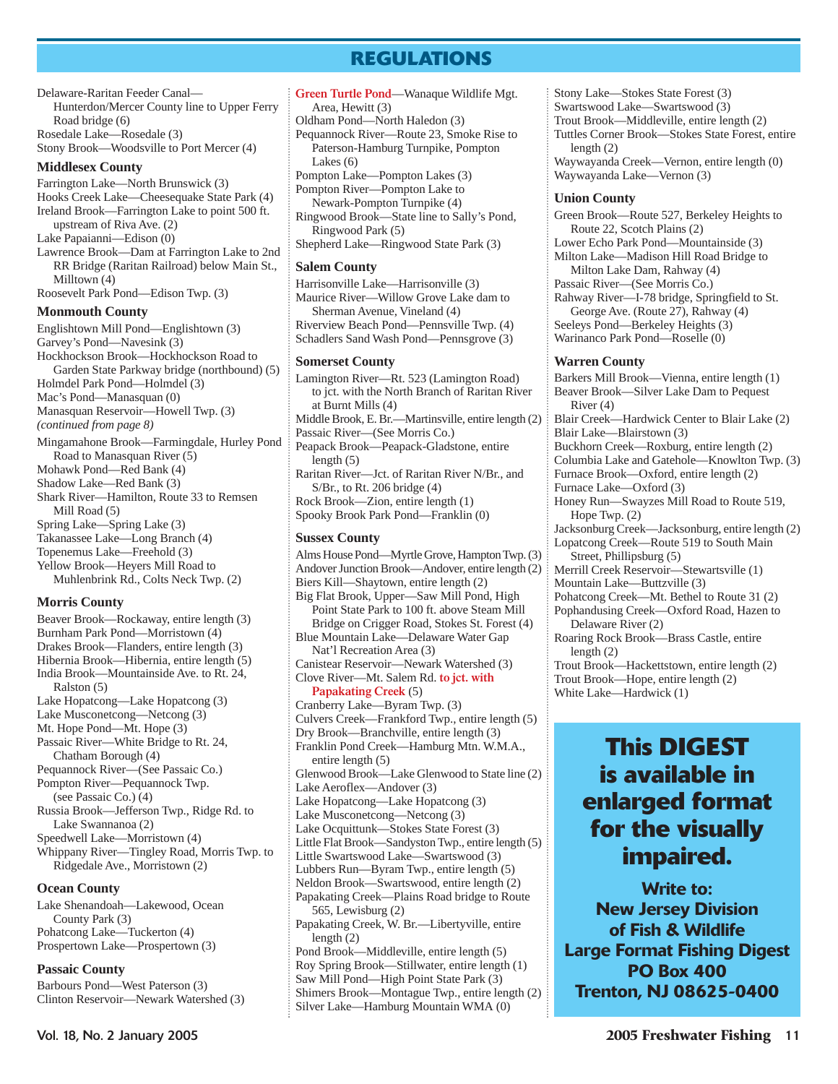Delaware-Raritan Feeder Canal— Hunterdon/Mercer County line to Upper Ferry Road bridge (6) Rosedale Lake—Rosedale (3) Stony Brook—Woodsville to Port Mercer (4)

### **Middlesex County**

Farrington Lake—North Brunswick (3) Hooks Creek Lake—Cheesequake State Park (4) Ireland Brook—Farrington Lake to point 500 ft. upstream of Riva Ave. (2) Lake Papaianni—Edison (0) Lawrence Brook—Dam at Farrington Lake to 2nd RR Bridge (Raritan Railroad) below Main St., Milltown (4) Roosevelt Park Pond—Edison Twp. (3) **Monmouth County** Englishtown Mill Pond—Englishtown (3) Garvey's Pond—Navesink (3) Hockhockson Brook—Hockhockson Road to Garden State Parkway bridge (northbound) (5) Holmdel Park Pond—Holmdel (3)

Mac's Pond—Manasquan (0)

Manasquan Reservoir—Howell Twp. (3)

*(continued from page 8)*

- Mingamahone Brook—Farmingdale, Hurley Pond Road to Manasquan River (5) Mohawk Pond—Red Bank (4) Shadow Lake—Red Bank (3)
- Shark River—Hamilton, Route 33 to Remsen Mill Road (5) Spring Lake—Spring Lake (3)

Takanassee Lake—Long Branch (4)

Topenemus Lake—Freehold (3)

Yellow Brook—Heyers Mill Road to Muhlenbrink Rd., Colts Neck Twp. (2)

### **Morris County**

Beaver Brook—Rockaway, entire length (3) Burnham Park Pond—Morristown (4) Drakes Brook—Flanders, entire length (3) Hibernia Brook—Hibernia, entire length (5) India Brook—Mountainside Ave. to Rt. 24, Ralston (5) Lake Hopatcong—Lake Hopatcong (3) Lake Musconetcong—Netcong (3) Mt. Hope Pond—Mt. Hope (3) Passaic River—White Bridge to Rt. 24, Chatham Borough (4) Pequannock River—(See Passaic Co.) Pompton River—Pequannock Twp. (see Passaic Co.) (4) Russia Brook—Jefferson Twp., Ridge Rd. to Lake Swannanoa (2) Speedwell Lake—Morristown (4) Whippany River—Tingley Road, Morris Twp. to Ridgedale Ave., Morristown (2)

### **Ocean County**

Lake Shenandoah—Lakewood, Ocean County Park (3) Pohatcong Lake—Tuckerton (4) Prospertown Lake—Prospertown (3)

### **Passaic County**

Barbours Pond—West Paterson (3) Clinton Reservoir—Newark Watershed (3)

- **Green Turtle Pond**—Wanaque Wildlife Mgt. Area, Hewitt (3) Oldham Pond—North Haledon (3) Pequannock River—Route 23, Smoke Rise to Paterson-Hamburg Turnpike, Pompton Lakes (6) Pompton Lake—Pompton Lakes (3)
- Pompton River—Pompton Lake to
- Newark-Pompton Turnpike (4)

Ringwood Brook—State line to Sally's Pond, Ringwood Park (5)

Shepherd Lake—Ringwood State Park (3)

### **Salem County**

Harrisonville Lake—Harrisonville (3) Maurice River—Willow Grove Lake dam to Sherman Avenue, Vineland (4) Riverview Beach Pond—Pennsville Twp. (4) Schadlers Sand Wash Pond—Pennsgrove (3)

### **Somerset County**

Lamington River—Rt. 523 (Lamington Road) to jct. with the North Branch of Raritan River at Burnt Mills (4) Middle Brook, E. Br.—Martinsville, entire length (2) Passaic River—(See Morris Co.)

Peapack Brook—Peapack-Gladstone, entire length (5)

Raritan River—Jct. of Raritan River N/Br., and S/Br., to Rt. 206 bridge (4) Rock Brook—Zion, entire length (1)

Spooky Brook Park Pond—Franklin (0)

### **Sussex County**

Alms House Pond—Myrtle Grove, Hampton Twp. (3) Andover Junction Brook—Andover, entire length (2) Biers Kill—Shaytown, entire length (2) Big Flat Brook, Upper—Saw Mill Pond, High Point State Park to 100 ft. above Steam Mill Bridge on Crigger Road, Stokes St. Forest (4) Blue Mountain Lake—Delaware Water Gap Nat'l Recreation Area (3) Canistear Reservoir—Newark Watershed (3) Clove River—Mt. Salem Rd. **to jct. with Papakating Creek** (5) Cranberry Lake—Byram Twp. (3) Culvers Creek—Frankford Twp., entire length (5) Dry Brook—Branchville, entire length (3) Franklin Pond Creek—Hamburg Mtn. W.M.A., entire length (5) Glenwood Brook—Lake Glenwood to State line (2) Lake Aeroflex—Andover (3) Lake Hopatcong—Lake Hopatcong (3) Lake Musconetcong—Netcong (3) Lake Ocquittunk—Stokes State Forest (3) Little Flat Brook—Sandyston Twp., entire length (5) Little Swartswood Lake—Swartswood (3) Lubbers Run—Byram Twp., entire length (5) Neldon Brook—Swartswood, entire length (2) Papakating Creek—Plains Road bridge to Route 565, Lewisburg (2) Papakating Creek, W. Br.—Libertyville, entire length (2) Pond Brook—Middleville, entire length (5) Roy Spring Brook—Stillwater, entire length (1)

Saw Mill Pond—High Point State Park (3) Shimers Brook—Montague Twp., entire length (2) Silver Lake—Hamburg Mountain WMA (0)

Swartswood Lake—Swartswood (3) Trout Brook—Middleville, entire length (2) Tuttles Corner Brook—Stokes State Forest, entire length (2) Waywayanda Creek—Vernon, entire length (0) Waywayanda Lake—Vernon (3) **Union County** Green Brook—Route 527, Berkeley Heights to Route 22, Scotch Plains (2) Lower Echo Park Pond—Mountainside (3) Milton Lake—Madison Hill Road Bridge to Milton Lake Dam, Rahway (4) Passaic River—(See Morris Co.) Rahway River—I-78 bridge, Springfield to St. George Ave. (Route 27), Rahway (4)

Stony Lake—Stokes State Forest (3)

Seeleys Pond—Berkeley Heights (3) Warinanco Park Pond—Roselle (0)

### **Warren County**

Barkers Mill Brook—Vienna, entire length (1) Beaver Brook—Silver Lake Dam to Pequest River (4) Blair Creek—Hardwick Center to Blair Lake (2) Blair Lake—Blairstown (3) Buckhorn Creek—Roxburg, entire length (2) Columbia Lake and Gatehole—Knowlton Twp. (3) Furnace Brook—Oxford, entire length (2) Furnace Lake—Oxford (3) Honey Run—Swayzes Mill Road to Route 519, Hope Twp. (2) Jacksonburg Creek—Jacksonburg, entire length (2) Lopatcong Creek—Route 519 to South Main Street, Phillipsburg (5) Merrill Creek Reservoir—Stewartsville (1) Mountain Lake—Buttzville (3) Pohatcong Creek—Mt. Bethel to Route 31 (2) Pophandusing Creek—Oxford Road, Hazen to Delaware River (2) Roaring Rock Brook—Brass Castle, entire length (2) Trout Brook—Hackettstown, entire length (2) Trout Brook—Hope, entire length (2) White Lake—Hardwick (1)

# **This DIGEST is available in enlarged format for the visually impaired.**

**Write to: New Jersey Division of Fish & Wildlife Large Format Fishing Digest PO Box 400 Trenton, NJ 08625-0400**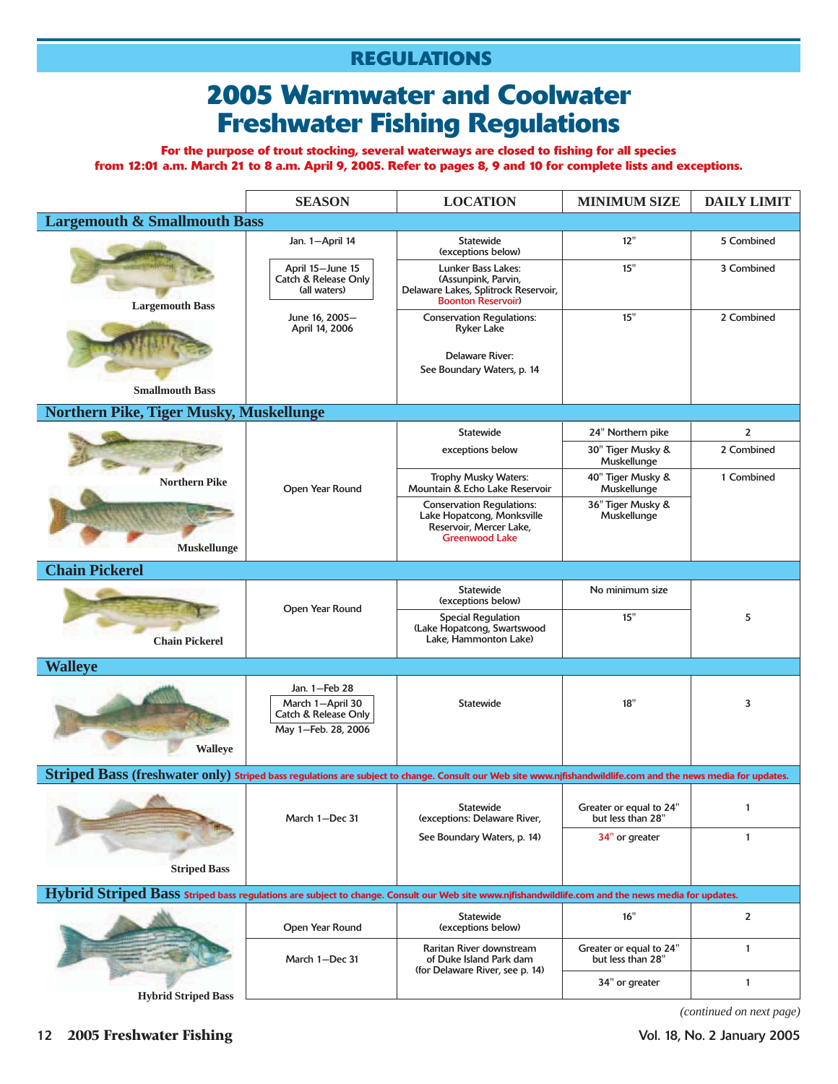# **2005 Warmwater and Coolwater Freshwater Fishing Regulations**

**For the purpose of trout stocking, several waterways are closed to fishing for all species from 12:01 a.m. March 21 to 8 a.m. April 9, 2005. Refer to pages 8, 9 and 10 for complete lists and exceptions.**

|                                                                                                                                                               | <b>SEASON</b>                                                                               | <b>LOCATION</b>                                                                                                    | <b>MINIMUM SIZE</b>                          | <b>DAILY LIMIT</b>      |
|---------------------------------------------------------------------------------------------------------------------------------------------------------------|---------------------------------------------------------------------------------------------|--------------------------------------------------------------------------------------------------------------------|----------------------------------------------|-------------------------|
| <b>Largemouth &amp; Smallmouth Bass</b>                                                                                                                       |                                                                                             |                                                                                                                    |                                              |                         |
|                                                                                                                                                               | Jan. 1-April 14                                                                             | <b>Statewide</b><br>(exceptions below)                                                                             | 12"                                          | 5 Combined              |
| <b>Largemouth Bass</b>                                                                                                                                        | April 15-June 15<br><b>Catch &amp; Release Only</b><br>(all waters)                         | Lunker Bass Lakes:<br>(Assunpink, Parvin,<br>Delaware Lakes, Splitrock Reservoir,<br><b>Boonton Reservoir)</b>     | 15"                                          | 3 Combined              |
|                                                                                                                                                               | June 16, 2005-<br>April 14, 2006                                                            | <b>Conservation Regulations:</b><br><b>Ryker Lake</b><br>Delaware River:<br>See Boundary Waters, p. 14             | 15"                                          | 2 Combined              |
| <b>Smallmouth Bass</b>                                                                                                                                        |                                                                                             |                                                                                                                    |                                              |                         |
| Northern Pike, Tiger Musky, Muskellunge                                                                                                                       |                                                                                             |                                                                                                                    |                                              |                         |
|                                                                                                                                                               |                                                                                             | <b>Statewide</b>                                                                                                   | 24" Northern pike                            | $\overline{\mathbf{c}}$ |
|                                                                                                                                                               |                                                                                             | exceptions below                                                                                                   | 30" Tiger Musky &<br>Muskellunge             | 2 Combined              |
| <b>Northern Pike</b>                                                                                                                                          | Open Year Round                                                                             | <b>Trophy Musky Waters:</b><br>Mountain & Echo Lake Reservoir                                                      | 40" Tiger Musky &<br>Muskellunge             | 1 Combined              |
| <b>Muskellunge</b>                                                                                                                                            |                                                                                             | <b>Conservation Regulations:</b><br>Lake Hopatcong, Monksville<br>Reservoir, Mercer Lake,<br><b>Greenwood Lake</b> | 36" Tiger Musky &<br>Muskellunge             |                         |
| <b>Chain Pickerel</b>                                                                                                                                         |                                                                                             |                                                                                                                    |                                              |                         |
|                                                                                                                                                               |                                                                                             | <b>Statewide</b><br>(exceptions below)                                                                             | No minimum size                              |                         |
| <b>Chain Pickerel</b>                                                                                                                                         | Open Year Round                                                                             | <b>Special Regulation</b><br>(Lake Hopatcong, Swartswood<br>Lake, Hammonton Lake)                                  | 15"                                          | 5                       |
| <b>Walleye</b>                                                                                                                                                |                                                                                             |                                                                                                                    |                                              |                         |
| <b>Walleye</b>                                                                                                                                                | Jan. 1-Feb 28<br>March 1-April 30<br><b>Catch &amp; Release Only</b><br>May 1-Feb. 28, 2006 | <b>Statewide</b>                                                                                                   | 18"                                          | 3                       |
| Striped Bass (freshwater only) Striped bass regulations are subject to change. Consult our Web site www.njfishandwildlife.com and the news media for updates. |                                                                                             |                                                                                                                    |                                              |                         |
|                                                                                                                                                               | March 1-Dec 31                                                                              | <b>Statewide</b><br>(exceptions: Delaware River,                                                                   | Greater or equal to 24"<br>but less than 28" | $\mathbf{1}$            |
|                                                                                                                                                               |                                                                                             | See Boundary Waters, p. 14)                                                                                        | 34" or greater                               | $\mathbf{1}$            |
| <b>Striped Bass</b>                                                                                                                                           |                                                                                             |                                                                                                                    |                                              |                         |
| Hybrid Striped Bass Striped bass regulations are subject to change. Consult our Web site www.njfishandwildlife.com and the news media for updates.            |                                                                                             |                                                                                                                    |                                              |                         |
|                                                                                                                                                               | Open Year Round                                                                             | <b>Statewide</b><br>(exceptions below)                                                                             | 16"                                          | $\overline{2}$          |
|                                                                                                                                                               | March 1-Dec 31                                                                              | Raritan River downstream<br>of Duke Island Park dam<br>(for Delaware River, see p. 14)                             | Greater or equal to 24"<br>but less than 28" | $\mathbf{1}$            |
| <b>Hybrid Striped Bass</b>                                                                                                                                    |                                                                                             |                                                                                                                    | 34" or greater                               | 1                       |

*(continued on next page)*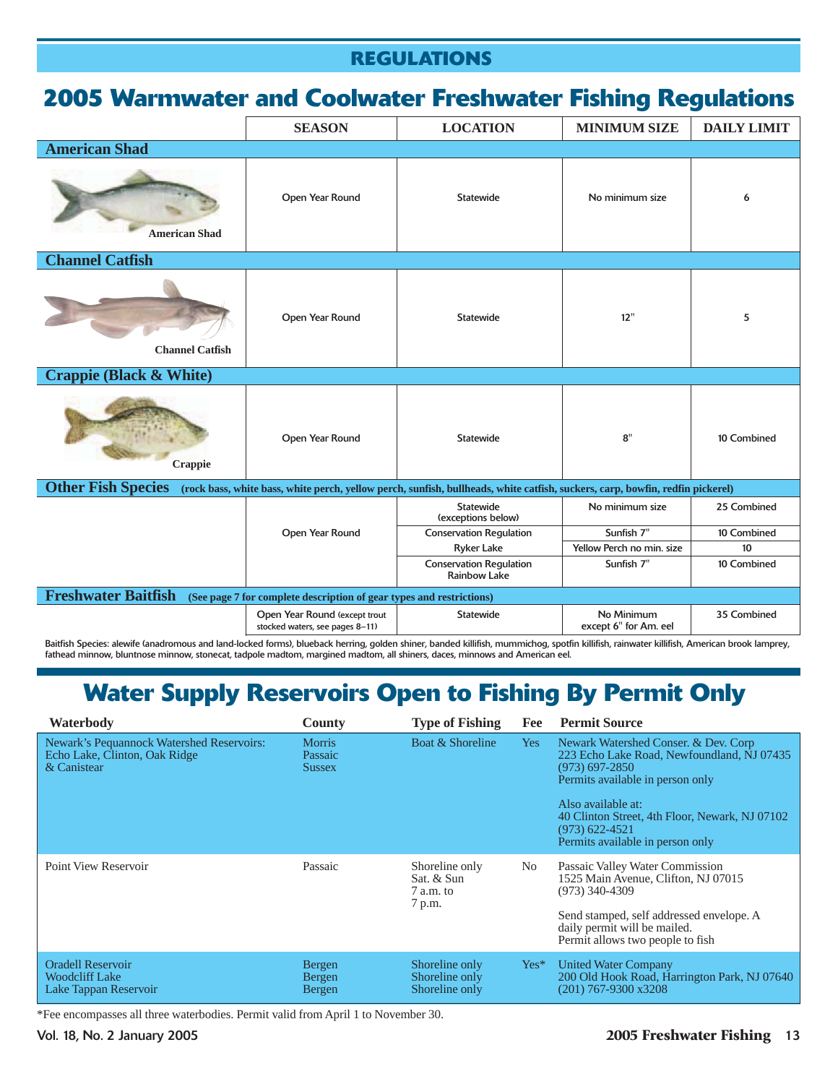# **2005 Warmwater and Coolwater Freshwater Fishing Regulations**

|                                    | <b>SEASON</b>                                                        | <b>LOCATION</b>                                                                                                               | <b>MINIMUM SIZE</b>                 | <b>DAILY LIMIT</b> |
|------------------------------------|----------------------------------------------------------------------|-------------------------------------------------------------------------------------------------------------------------------|-------------------------------------|--------------------|
| <b>American Shad</b>               |                                                                      |                                                                                                                               |                                     |                    |
| <b>American Shad</b>               | Open Year Round                                                      | Statewide                                                                                                                     | No minimum size                     | 6                  |
| <b>Channel Catfish</b>             |                                                                      |                                                                                                                               |                                     |                    |
| <b>Channel Catfish</b>             | Open Year Round                                                      | Statewide                                                                                                                     | 12"                                 | 5                  |
| <b>Crappie (Black &amp; White)</b> |                                                                      |                                                                                                                               |                                     |                    |
| <b>Crappie</b>                     | Open Year Round                                                      | Statewide                                                                                                                     | 8"                                  | 10 Combined        |
| <b>Other Fish Species</b>          |                                                                      | (rock bass, white bass, white perch, yellow perch, sunfish, bullheads, white catfish, suckers, carp, bowfin, redfin pickerel) |                                     |                    |
|                                    |                                                                      | <b>Statewide</b><br>(exceptions below)                                                                                        | No minimum size                     | 25 Combined        |
|                                    | Open Year Round                                                      | <b>Conservation Regulation</b>                                                                                                | Sunfish 7"                          | 10 Combined        |
|                                    |                                                                      | <b>Ryker Lake</b>                                                                                                             | Yellow Perch no min. size           | 10                 |
|                                    |                                                                      | <b>Conservation Regulation</b><br><b>Rainbow Lake</b>                                                                         | Sunfish 7"                          | 10 Combined        |
| <b>Freshwater Baitfish</b>         | (See page 7 for complete description of gear types and restrictions) |                                                                                                                               |                                     |                    |
|                                    | Open Year Round (except trout<br>stocked waters, see pages 8-11)     | Statewide                                                                                                                     | No Minimum<br>except 6" for Am. eel | 35 Combined        |

Baitfish Species: alewife (anadromous and land-locked forms), blueback herring, golden shiner, banded killifish, mummichog, spotfin killifish, rainwater killifish, American brook lamprey, fathead minnow, bluntnose minnow, stonecat, tadpole madtom, margined madtom, all shiners, daces, minnows and American eel.

# **Water Supply Reservoirs Open to Fishing By Permit Only**

| Waterbody                                                                                 | <b>County</b>                             | <b>Type of Fishing</b>                              | Fee        | <b>Permit Source</b>                                                                                                                                                                                                                                                         |
|-------------------------------------------------------------------------------------------|-------------------------------------------|-----------------------------------------------------|------------|------------------------------------------------------------------------------------------------------------------------------------------------------------------------------------------------------------------------------------------------------------------------------|
| Newark's Pequannock Watershed Reservoirs:<br>Echo Lake, Clinton, Oak Ridge<br>& Canistear | <b>Morris</b><br>Passaic<br><b>Sussex</b> | Boat & Shoreline                                    | <b>Yes</b> | Newark Watershed Conser. & Dev. Corp<br>223 Echo Lake Road, Newfoundland, NJ 07435<br>$(973)$ 697-2850<br>Permits available in person only<br>Also available at:<br>40 Clinton Street, 4th Floor, Newark, NJ 07102<br>$(973) 622 - 4521$<br>Permits available in person only |
| Point View Reservoir                                                                      | Passaic                                   | Shoreline only<br>Sat. & Sun<br>7 a.m. to<br>7 p.m. | No.        | Passaic Valley Water Commission<br>1525 Main Avenue, Clifton, NJ 07015<br>$(973)$ 340-4309<br>Send stamped, self addressed envelope. A<br>daily permit will be mailed.<br>Permit allows two people to fish                                                                   |
| <b>Oradell Reservoir</b><br><b>Woodcliff Lake</b><br>Lake Tappan Reservoir                | Bergen<br>Bergen<br><b>Bergen</b>         | Shoreline only<br>Shoreline only<br>Shoreline only  | $Yes*$     | <b>United Water Company</b><br>200 Old Hook Road, Harrington Park, NJ 07640<br>$(201)$ 767-9300 x3208                                                                                                                                                                        |

\*Fee encompasses all three waterbodies. Permit valid from April 1 to November 30.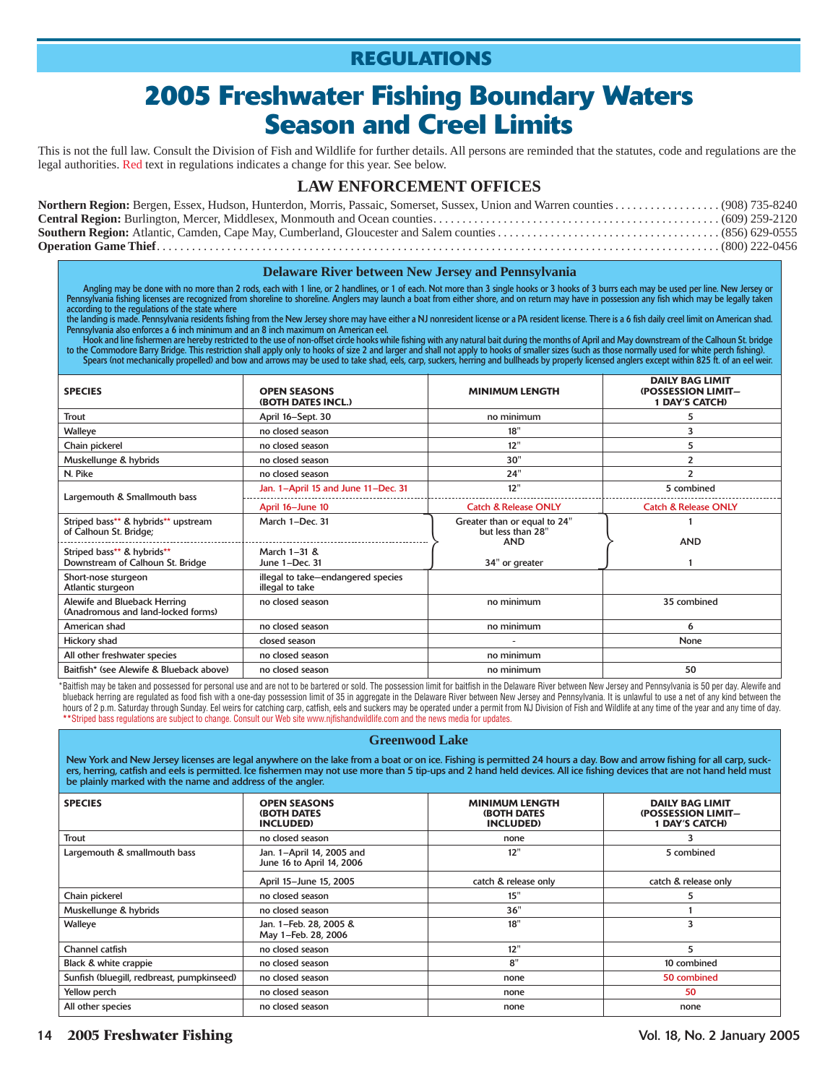# **2005 Freshwater Fishing Boundary Waters Season and Creel Limits**

This is not the full law. Consult the Division of Fish and Wildlife for further details. All persons are reminded that the statutes, code and regulations are the legal authorities. Red text in regulations indicates a change for this year. See below.

### **LAW ENFORCEMENT OFFICES**

#### **Delaware River between New Jersey and Pennsylvania**

Angling may be done with no more than 2 rods, each with 1 line, or 2 handlines, or 1 of each. Not more than 3 single hooks or 3 hooks of 3 burrs each may be used per line. New Jersey or Pennsylvania fishing licenses are recognized from shoreline to shoreline. Anglers may launch a boat from either shore, and on return may have in possession any fish which may be legally taken according to the regulations of the state where

the landing is made. Pennsylvania residents fishing from the New Jersey shore may have either a NJ nonresident license or a PA resident license. There is a 6 fish daily creel limit on American shad.<br>Pennsylvania also enfor

Hook and line fishermen are hereby restricted to the use of non-offset circle hooks while fishing with any natural bait during the months of April and May downstream of the Calhoun St. bridge<br>to the Commodore Barry Bridge.

| <b>SPECIES</b>                                                     | <b>OPEN SEASONS</b><br>(BOTH DATES INCL.)             | <b>MINIMUM LENGTH</b>                                           | <b>DAILY BAG LIMIT</b><br>(POSSESSION LIMIT-<br><b>1 DAY'S CATCH)</b> |
|--------------------------------------------------------------------|-------------------------------------------------------|-----------------------------------------------------------------|-----------------------------------------------------------------------|
| Trout                                                              | April 16-Sept. 30                                     | no minimum                                                      | 5                                                                     |
| Walleye                                                            | no closed season                                      | 18"                                                             | 3                                                                     |
| Chain pickerel                                                     | no closed season                                      | 12"                                                             | 5                                                                     |
| Muskellunge & hybrids                                              | no closed season                                      | 30"                                                             | 2                                                                     |
| N. Pike                                                            | no closed season                                      | 24"                                                             | 2                                                                     |
| Largemouth & Smallmouth bass                                       | Jan. 1-April 15 and June 11-Dec. 31                   | 12"                                                             | 5 combined                                                            |
|                                                                    | April 16-June 10                                      | <b>Catch &amp; Release ONLY</b>                                 | <b>Catch &amp; Release ONLY</b>                                       |
| Striped bass** & hybrids** upstream<br>of Calhoun St. Bridge;      | March 1-Dec. 31                                       | Greater than or equal to 24"<br>but less than 28"<br><b>AND</b> | <b>AND</b>                                                            |
| Striped bass** & hybrids**<br>Downstream of Calhoun St. Bridge     | March 1-31 &<br>June 1-Dec. 31                        | 34" or greater                                                  |                                                                       |
| Short-nose sturgeon<br>Atlantic sturgeon                           | illegal to take-endangered species<br>illegal to take |                                                                 |                                                                       |
| Alewife and Blueback Herring<br>(Anadromous and land-locked forms) | no closed season                                      | no minimum                                                      | 35 combined                                                           |
| American shad                                                      | no closed season                                      | no minimum                                                      | 6                                                                     |
| Hickory shad                                                       | closed season                                         |                                                                 | None                                                                  |
| All other freshwater species                                       | no closed season                                      | no minimum                                                      |                                                                       |
| Baitfish* (see Alewife & Blueback above)                           | no closed season                                      | no minimum                                                      | 50                                                                    |

\*Baitfish may be taken and possessed for personal use and are not to be bartered or sold. The possession limit for baitfish in the Delaware River between New Jersey and Pennsylvania is 50 per day. Alewife and blueback herring are regulated as food fish with a one-day possession limit of 35 in aggregate in the Delaware River between New Jersey and Pennsylvania. It is unlawful to use a net of any kind between the hours of 2 p.m. Saturday through Sunday. Eel weirs for catching carp, catfish, eels and suckers may be operated under a permit from NJ Division of Fish and Wildlife at any time of the year and any time of day. **\*\***Striped bass regulations are subject to change. Consult our Web site www.njfishandwildlife.com and the news media for updates.

#### **Greenwood Lake**

New York and New Jersey licenses are legal anywhere on the lake from a boat or on ice. Fishing is permitted 24 hours a day. Bow and arrow fishing for all carp, suckers, herring, catfish and eels is permitted. Ice fishermen may not use more than 5 tip-ups and 2 hand held devices. All ice fishing devices that are not hand held must be plainly marked with the name and address of the angler.

| <b>SPECIES</b>                             | <b>OPEN SEASONS</b><br><b>(BOTH DATES)</b><br><b>INCLUDED)</b> | <b>MINIMUM LENGTH</b><br><b>(BOTH DATES)</b><br><b>INCLUDED)</b> | <b>DAILY BAG LIMIT</b><br><b>(POSSESSION LIMIT-</b><br><b>1 DAY'S CATCH)</b> |
|--------------------------------------------|----------------------------------------------------------------|------------------------------------------------------------------|------------------------------------------------------------------------------|
| Trout                                      | no closed season                                               | none                                                             |                                                                              |
| Largemouth & smallmouth bass               | Jan. 1-April 14, 2005 and<br>June 16 to April 14, 2006         | 12"                                                              | 5 combined                                                                   |
|                                            | April 15-June 15, 2005                                         | catch & release only                                             | catch & release only                                                         |
| Chain pickerel                             | no closed season                                               | 15"                                                              | 5                                                                            |
| Muskellunge & hybrids                      | no closed season                                               | 36"                                                              |                                                                              |
| Walleye                                    | Jan. 1-Feb. 28, 2005 &<br>May 1-Feb. 28, 2006                  | 18"                                                              | 3                                                                            |
| Channel catfish                            | no closed season                                               | 12"                                                              | 5                                                                            |
| Black & white crappie                      | no closed season                                               | 8"                                                               | 10 combined                                                                  |
| Sunfish (bluegill, redbreast, pumpkinseed) | no closed season                                               | none                                                             | 50 combined                                                                  |
| Yellow perch                               | no closed season                                               | none                                                             | 50                                                                           |
| All other species                          | no closed season                                               | none                                                             | none                                                                         |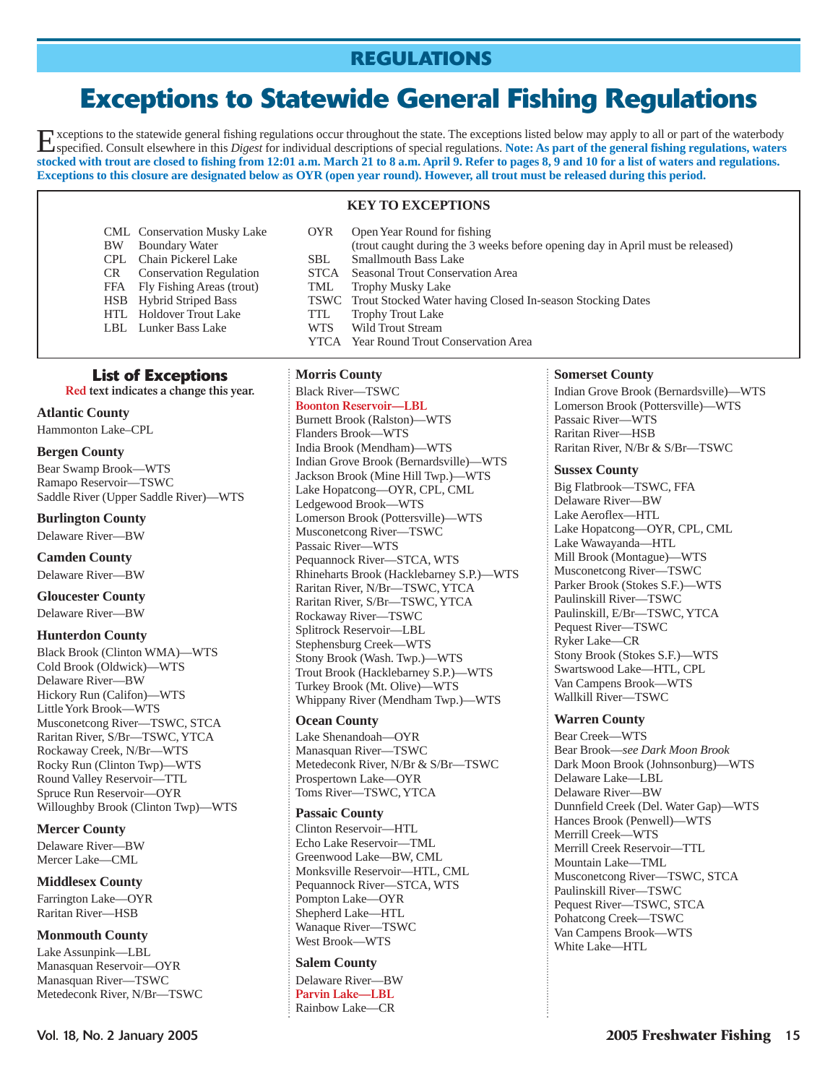# **Exceptions to Statewide General Fishing Regulations**

Exceptions to the statewide general fishing regulations occur throughout the state. The exceptions listed below may apply to all or part of the waterbody specified. Consult elsewhere in this *Digest* for individual descrip **stocked with trout are closed to fishing from 12:01 a.m. March 21 to 8 a.m. April 9. Refer to pages 8, 9 and 10 for a list of waters and regulations. Exceptions to this closure are designated below as OYR (open year round). However, all trout must be released during this period.**

### **KEY TO EXCEPTIONS**

YTCA Year Round Trout Conservation Area

TSWC Trout Stocked Water having Closed In-season Stocking Dates TTL Trophy Trout Lake

- CML Conservation Musky Lake OYR Open Year Round for fishing
- BW Boundary Water (trout caught during the 3 weeks before opening day in April must be released)
- CPL Chain Pickerel Lake SBL Smallmouth Bass Lake
- CR Conservation Regulation STCA Seasonal Trout Conservation Area<br>FEA Fly Fishing Areas (trout) TML Trophy Musky Lake
- FFA Fly Fishing Areas (trout)<br>HSB Hybrid Striped Bass
- 
- HTL Holdover Trout Lake TTL
- LBL Lunker Bass Lake WTS Wild Trout Stream

### **List of Exceptions**

**Red text indicates a change this year.**

### **Atlantic County**

Hammonton Lake–CPL

### **Bergen County**

Bear Swamp Brook—WTS Ramapo Reservoir—TSWC Saddle River (Upper Saddle River)—WTS

### **Burlington County**

Delaware River—BW **Camden County**

Delaware River—BW

### **Gloucester County**

Delaware River—BW

### **Hunterdon County**

Black Brook (Clinton WMA)—WTS Cold Brook (Oldwick)—WTS Delaware River—BW Hickory Run (Califon)—WTS Little York Brook—WTS Musconetcong River—TSWC, STCA Raritan River, S/Br—TSWC, YTCA Rockaway Creek, N/Br—WTS Rocky Run (Clinton Twp)—WTS Round Valley Reservoir—TTL Spruce Run Reservoir—OYR Willoughby Brook (Clinton Twp)—WTS

### **Mercer County**

Delaware River—BW Mercer Lake—CML

### **Middlesex County**

Farrington Lake—OYR Raritan River—HSB

### **Monmouth County**

Lake Assunpink—LBL Manasquan Reservoir—OYR Manasquan River—TSWC Metedeconk River, N/Br—TSWC

### **Morris County**

#### Black River—TSWC **Boonton Reservoir—LBL**

Burnett Brook (Ralston)—WTS Flanders Brook—WTS India Brook (Mendham)—WTS Indian Grove Brook (Bernardsville)—WTS Jackson Brook (Mine Hill Twp.)—WTS Lake Hopatcong—OYR, CPL, CML Ledgewood Brook—WTS Lomerson Brook (Pottersville)—WTS Musconetcong River—TSWC Passaic River—WTS Pequannock River—STCA, WTS Rhineharts Brook (Hacklebarney S.P.)—WTS Raritan River, N/Br—TSWC, YTCA Raritan River, S/Br—TSWC, YTCA Rockaway River—TSWC Splitrock Reservoir—LBL Stephensburg Creek—WTS Stony Brook (Wash. Twp.)—WTS Trout Brook (Hacklebarney S.P.)—WTS Turkey Brook (Mt. Olive)—WTS Whippany River (Mendham Twp.)—WTS

### **Ocean County**

Lake Shenandoah—OYR Manasquan River—TSWC Metedeconk River, N/Br & S/Br—TSWC Prospertown Lake—OYR Toms River—TSWC, YTCA

### **Passaic County**

Clinton Reservoir—HTL Echo Lake Reservoir—TML Greenwood Lake—BW, CML Monksville Reservoir—HTL, CML Pequannock River—STCA, WTS Pompton Lake—OYR Shepherd Lake—HTL Wanaque River—TSWC West Brook—WTS

### **Salem County**

Delaware River—BW **Parvin Lake—LBL** Rainbow Lake—CR

### **Somerset County**

Indian Grove Brook (Bernardsville)—WTS Lomerson Brook (Pottersville)—WTS Passaic River—WTS Raritan River—HSB Raritan River, N/Br & S/Br—TSWC

### **Sussex County**

Big Flatbrook—TSWC, FFA Delaware River—BW Lake Aeroflex—HTL Lake Hopatcong—OYR, CPL, CML Lake Wawayanda—HTL Mill Brook (Montague)—WTS Musconetcong River—TSWC Parker Brook (Stokes S.F.)—WTS Paulinskill River—TSWC Paulinskill, E/Br—TSWC, YTCA Pequest River—TSWC Ryker Lake—CR Stony Brook (Stokes S.F.)—WTS Swartswood Lake—HTL, CPL Van Campens Brook—WTS Wallkill River—TSWC

### **Warren County**

Bear Creek—WTS Bear Brook—*see Dark Moon Brook* Dark Moon Brook (Johnsonburg)—WTS Delaware Lake—LBL Delaware River—BW Dunnfield Creek (Del. Water Gap)—WTS Hances Brook (Penwell)—WTS Merrill Creek—WTS Merrill Creek Reservoir—TTL Mountain Lake—TML Musconetcong River—TSWC, STCA Paulinskill River—TSWC Pequest River—TSWC, STCA Pohatcong Creek—TSWC Van Campens Brook—WTS White Lake—HTL